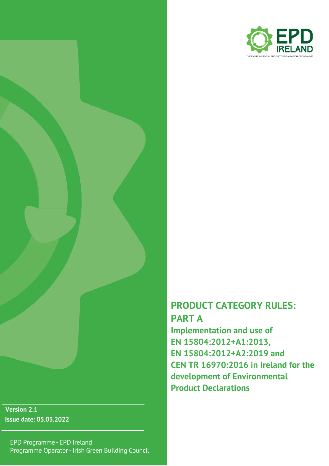

 **Version 2.1 Issue date: 05.03.2022**

EPD Programme - EPD Ireland Programme Operator - Irish Green Building Council

# **PRODUCT CATEGORY RULES: PART A**

**Implementation and use of EN 15804:2012+A1:2013, EN 15804:2012+A2:2019 and CEN TR 16970:2016 in Ireland for the development of Environmental Product Declarations**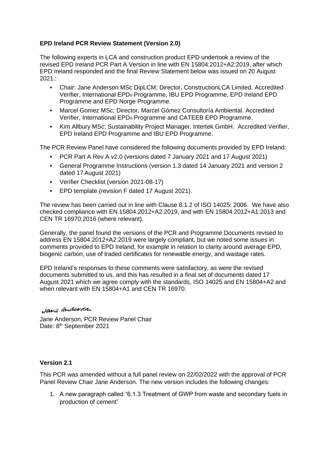#### **EPD Ireland PCR Review Statement (Version 2.0)**

The following experts in LCA and construction product EPD undertook a review of the revised EPD Ireland PCR Part A Version in line with EN 15804:2012+A2:2019, after which EPD Ireland responded and the final Review Statement below was issued on 20 August 2021.:

- Chair: Jane Anderson MSc DipLCM; Director, ConstructionLCA Limited. Accredited Verifier, International EPD® Programme, IBU EPD Programme, EPD Ireland EPD Programme and EPD Norge Programme.
- Marcel Gomez MSc; Director, Marcel Gómez Consultoría Ambiental. Accredited Verifier, International EPD® Programme and CATEEB EPD Programme.
- Kim Allbury MSc; Sustainability Project Manager, Intertek GmbH. Accredited Verifier, EPD Ireland EPD Programme and IBU EPD Programme.

The PCR Review Panel have considered the following documents provided by EPD Ireland:

- PCR Part A Rev A v2.0 (versions dated 7 January 2021 and 17 August 2021)
- General Programme Instructions (version 1.3 dated 14 January 2021 and version 2 dated 17 August 2021)
- Verifier Checklist (version 2021-08-17)
- EPD template (revision F dated 17 August 2021).

The review has been carried out in line with Clause 8.1.2 of ISO 14025: 2006. We have also checked compliance with EN 15804:2012+A2:2019, and with EN 15804:2012+A1:2013 and CEN TR 16970:2016 (where relevant).

Generally, the panel found the versions of the PCR and Programme Documents revised to address EN 15804:2012+A2:2019 were largely compliant, but we noted some issues in comments provided to EPD Ireland, for example in relation to clarity around average EPD, biogenic carbon, use of traded certificates for renewable energy, and wastage rates.

EPD Ireland's responses to these comments were satisfactory, as were the revised documents submitted to us, and this has resulted in a final set of documents dated 17 August 2021 which we agree comply with the standards, ISO 14025 and EN 15804+A2 and when relevant with EN 15804+A1 and CEN TR 16970.

## Jane Anderron

Jane Anderson, PCR Review Panel Chair Date: 8<sup>th</sup> September 2021

#### **Version 2.1**

This PCR was amended without a full panel review on 22/02/2022 with the approval of PCR Panel Review Chair Jane Anderson. The new version includes the following changes:

1. A new paragraph called "6.1.3 Treatment of GWP from waste and secondary fuels in production of cement"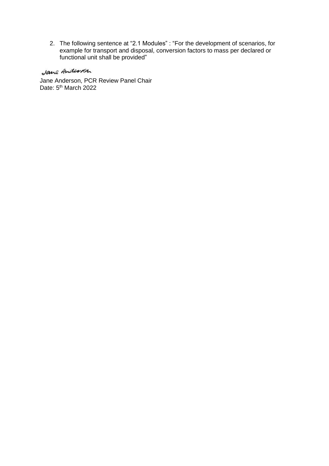2. The following sentence at "2.1 Modules" : "For the development of scenarios, for example for transport and disposal, conversion factors to mass per declared or functional unit shall be provided"

## Jane Anderson

Jane Anderson, PCR Review Panel Chair Date: 5<sup>th</sup> March 2022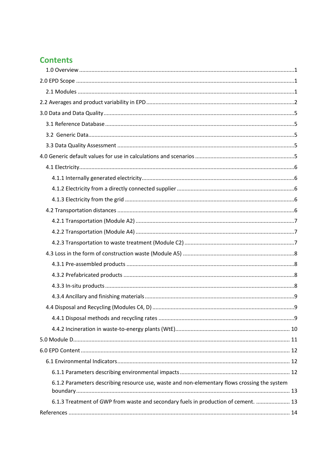## **Contents**

| 6.1.2 Parameters describing resource use, waste and non-elementary flows crossing the system |  |
|----------------------------------------------------------------------------------------------|--|
|                                                                                              |  |
|                                                                                              |  |
|                                                                                              |  |
|                                                                                              |  |
|                                                                                              |  |
|                                                                                              |  |
|                                                                                              |  |
|                                                                                              |  |
|                                                                                              |  |
|                                                                                              |  |
|                                                                                              |  |
|                                                                                              |  |
|                                                                                              |  |
|                                                                                              |  |
|                                                                                              |  |
|                                                                                              |  |
|                                                                                              |  |
|                                                                                              |  |
|                                                                                              |  |
|                                                                                              |  |
|                                                                                              |  |
|                                                                                              |  |
|                                                                                              |  |
|                                                                                              |  |
|                                                                                              |  |
|                                                                                              |  |
|                                                                                              |  |
|                                                                                              |  |
|                                                                                              |  |
| 6.1.3 Treatment of GWP from waste and secondary fuels in production of cement.  13           |  |
|                                                                                              |  |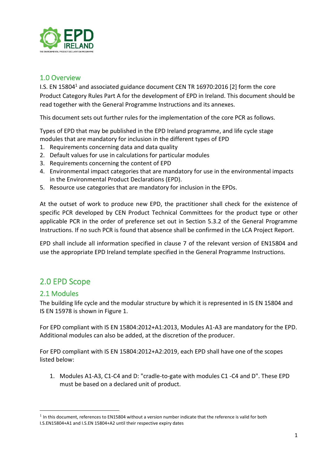

## <span id="page-4-0"></span>1.0 Overview

I.S. EN 15804<sup>1</sup> and associated guidance document CEN TR 16970:2016 [2] form the core Product Category Rules Part A for the development of EPD in Ireland. This document should be read together with the General Programme Instructions and its annexes.

This document sets out further rules for the implementation of the core PCR as follows.

Types of EPD that may be published in the EPD Ireland programme, and life cycle stage modules that are mandatory for inclusion in the different types of EPD

- 1. Requirements concerning data and data quality
- 2. Default values for use in calculations for particular modules
- 3. Requirements concerning the content of EPD
- 4. Environmental impact categories that are mandatory for use in the environmental impacts in the Environmental Product Declarations (EPD).
- 5. Resource use categories that are mandatory for inclusion in the EPDs.

At the outset of work to produce new EPD, the practitioner shall check for the existence of specific PCR developed by CEN Product Technical Committees for the product type or other applicable PCR in the order of preference set out in Section 5.3.2 of the General Programme Instructions. If no such PCR is found that absence shall be confirmed in the LCA Project Report.

EPD shall include all information specified in clause 7 of the relevant version of EN15804 and use the appropriate EPD Ireland template specified in the General Programme Instructions.

## <span id="page-4-1"></span>2.0 EPD Scope

## <span id="page-4-2"></span>2.1 Modules

The building life cycle and the modular structure by which it is represented in IS EN 15804 and IS EN 15978 is shown in Figure 1.

For EPD compliant with IS EN 15804:2012+A1:2013, Modules A1-A3 are mandatory for the EPD. Additional modules can also be added, at the discretion of the producer.

For EPD compliant with IS EN 15804:2012+A2:2019, each EPD shall have one of the scopes listed below:

1. Modules A1-A3, C1-C4 and D: "cradle-to-gate with modules C1 -C4 and D". These EPD must be based on a declared unit of product.

 $<sup>1</sup>$  In this document, references to EN15804 without a version number indicate that the reference is valid for both</sup> I.S.EN15804+A1 and I.S.EN 15804+A2 until their respective expiry dates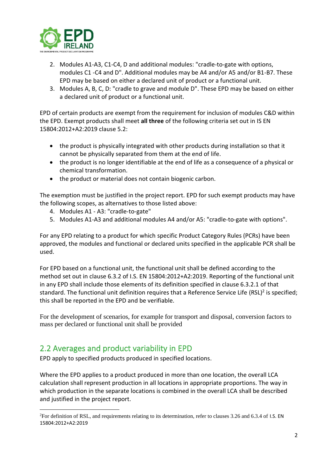

- 2. Modules A1-A3, C1-C4, D and additional modules: "cradle-to-gate with options, modules C1 -C4 and D". Additional modules may be A4 and/or A5 and/or B1-B7. These EPD may be based on either a declared unit of product or a functional unit.
- 3. Modules A, B, C, D: "cradle to grave and module D". These EPD may be based on either a declared unit of product or a functional unit.

EPD of certain products are exempt from the requirement for inclusion of modules C&D within the EPD. Exempt products shall meet **all three** of the following criteria set out in IS EN 15804:2012+A2:2019 clause 5.2:

- the product is physically integrated with other products during installation so that it cannot be physically separated from them at the end of life.
- the product is no longer identifiable at the end of life as a consequence of a physical or chemical transformation.
- the product or material does not contain biogenic carbon.

The exemption must be justified in the project report. EPD for such exempt products may have the following scopes, as alternatives to those listed above:

- 4. Modules A1 A3: "cradle-to-gate"
- 5. Modules A1-A3 and additional modules A4 and/or A5: "cradle-to-gate with options".

For any EPD relating to a product for which specific Product Category Rules (PCRs) have been approved, the modules and functional or declared units specified in the applicable PCR shall be used.

For EPD based on a functional unit, the functional unit shall be defined according to the method set out in clause 6.3.2 of I.S. EN 15804:2012+A2:2019. Reporting of the functional unit in any EPD shall include those elements of its definition specified in clause 6.3.2.1 of that standard. The functional unit definition requires that a Reference Service Life (RSL)<sup>2</sup> is specified; this shall be reported in the EPD and be verifiable.

For the development of scenarios, for example for transport and disposal, conversion factors to mass per declared or functional unit shall be provided

## <span id="page-5-0"></span>2.2 Averages and product variability in EPD

EPD apply to specified products produced in specified locations.

Where the EPD applies to a product produced in more than one location, the overall LCA calculation shall represent production in all locations in appropriate proportions. The way in which production in the separate locations is combined in the overall LCA shall be described and justified in the project report.

<sup>2</sup>For definition of RSL, and requirements relating to its determination, refer to clauses 3.26 and 6.3.4 of I.S. EN 15804:2012+A2:2019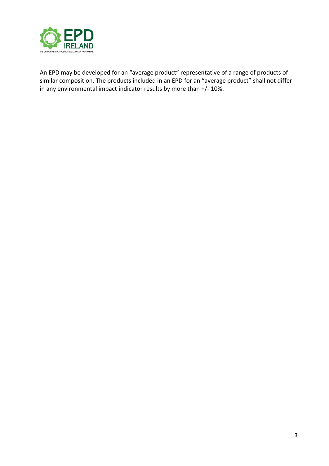

An EPD may be developed for an "average product" representative of a range of products of similar composition. The products included in an EPD for an "average product" shall not differ in any environmental impact indicator results by more than +/- 10%.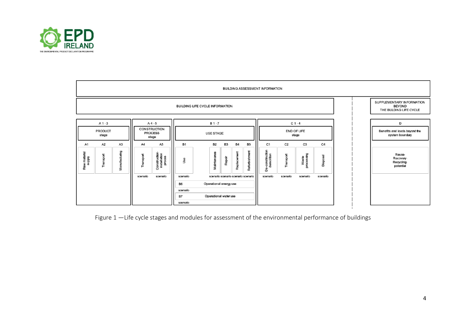

|                                                                                  | <b>BUILDING ASSESSMENT INFORMATION</b>                                                                         |                     |                                 |                                                           |                                                                                                                                                       |                          |                                  |                          |                                 |                                                      |                                                       |                                       |                            |                                                |  |
|----------------------------------------------------------------------------------|----------------------------------------------------------------------------------------------------------------|---------------------|---------------------------------|-----------------------------------------------------------|-------------------------------------------------------------------------------------------------------------------------------------------------------|--------------------------|----------------------------------|--------------------------|---------------------------------|------------------------------------------------------|-------------------------------------------------------|---------------------------------------|----------------------------|------------------------------------------------|--|
|                                                                                  | SUPPLEMENTARY INFORMATION<br><b>BUILDING LIFE CYCLE INFORMATION</b><br><b>BEYOND</b><br>THE BULDING LIFE CYCLE |                     |                                 |                                                           |                                                                                                                                                       |                          |                                  |                          |                                 |                                                      |                                                       |                                       |                            |                                                |  |
| A 1 - 3<br>$A4-5$<br>CONSTRUCTION<br>PRODUCT<br><b>PROCESS</b><br>stage<br>stage |                                                                                                                |                     | <b>B1-7</b><br><b>USE STAGE</b> |                                                           |                                                                                                                                                       |                          | $C1 - 4$<br>END OF LIFE<br>stage |                          |                                 |                                                      | D<br>Benefits and loads beyond the<br>system boundary |                                       |                            |                                                |  |
| A1<br>Rew material<br>supply                                                     | A <sub>2</sub><br>Transport                                                                                    | A3<br>Manufacturing | A4<br>Transport                 | A <sub>5</sub><br>Construction-<br>installation<br>proces | <b>B1</b><br>Use                                                                                                                                      | <b>B2</b><br>Maintenance | <b>B3</b><br>Repair              | <b>B4</b><br>Replacement | B <sub>5</sub><br>Refurbishment | C <sub>1</sub><br>a-construction<br>demolition<br>கீ | C <sub>2</sub><br>Transport                           | C <sub>3</sub><br>Waste<br>processing | C <sub>4</sub><br>Disposal | Reuse-<br>Recovery-<br>Recycling-<br>potential |  |
|                                                                                  |                                                                                                                |                     | scenario                        | scenario                                                  | scenario scenario scenario scenario<br>scenario<br>Operational energy use<br><b>B</b> 6<br>scenario<br>Operational water use<br><b>B7</b><br>scenario |                          |                                  | scenario                 | scenario                        | scenario                                             | scenario                                              |                                       |                            |                                                |  |

Figure 1 —Life cycle stages and modules for assessment of the environmental performance of buildings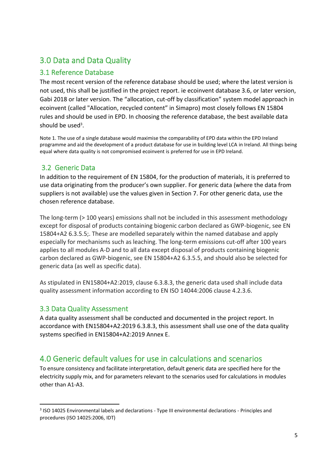## <span id="page-8-0"></span>3.0 Data and Data Quality

## <span id="page-8-1"></span>3.1 Reference Database

The most recent version of the reference database should be used; where the latest version is not used, this shall be justified in the project report. ie ecoinvent database 3.6, or later version, Gabi 2018 or later version. The "allocation, cut-off by classification" system model approach in ecoinvent (called "Allocation, recycled content" in Simapro) most closely follows EN 15804 rules and should be used in EPD. In choosing the reference database, the best available data should be used<sup>3</sup>.

Note 1. The use of a single database would maximise the comparability of EPD data within the EPD Ireland programme and aid the development of a product database for use in building level LCA in Ireland. All things being equal where data quality is not compromised ecoinvent is preferred for use in EPD Ireland.

## <span id="page-8-2"></span>3.2 Generic Data

In addition to the requirement of EN 15804, for the production of materials, it is preferred to use data originating from the producer's own supplier. For generic data (where the data from suppliers is not available) use the values given in Section 7. For other generic data, use the chosen reference database.

The long-term (> 100 years) emissions shall not be included in this assessment methodology except for disposal of products containing biogenic carbon declared as GWP-biogenic, see EN 15804+A2 6.3.5.5;. These are modelled separately within the named database and apply especially for mechanisms such as leaching. The long-term emissions cut-off after 100 years applies to all modules A-D and to all data except disposal of products containing biogenic carbon declared as GWP-biogenic, see EN 15804+A2 6.3.5.5, and should also be selected for generic data (as well as specific data).

As stipulated in EN15804+A2:2019, clause 6.3.8.3, the generic data used shall include data quality assessment information according to EN ISO 14044:2006 clause 4.2.3.6.

## <span id="page-8-3"></span>3.3 Data Quality Assessment

A data quality assessment shall be conducted and documented in the project report. In accordance with EN15804+A2:2019 6.3.8.3, this assessment shall use one of the data quality systems specified in EN15804+A2:2019 Annex E.

## <span id="page-8-4"></span>4.0 Generic default values for use in calculations and scenarios

To ensure consistency and facilitate interpretation, default generic data are specified here for the electricity supply mix, and for parameters relevant to the scenarios used for calculations in modules other than A1-A3.

<sup>3</sup> ISO 14025 Environmental labels and declarations - Type III environmental declarations - Principles and procedures (ISO 14025:2006, IDT)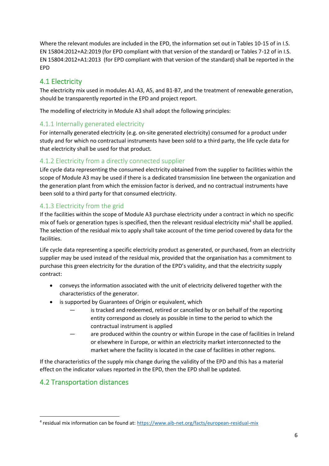Where the relevant modules are included in the EPD, the information set out in Tables 10-15 of in I.S. EN 15804:2012+A2:2019 (for EPD compliant with that version of the standard) or Tables 7-12 of in I.S. EN 15804:2012+A1:2013 (for EPD compliant with that version of the standard) shall be reported in the EPD

## <span id="page-9-0"></span>4.1 Electricity

The electricity mix used in modules A1-A3, A5, and B1-B7, and the treatment of renewable generation, should be transparently reported in the EPD and project report.

The modelling of electricity in Module A3 shall adopt the following principles:

## <span id="page-9-1"></span>4.1.1 Internally generated electricity

For internally generated electricity (e.g. on-site generated electricity) consumed for a product under study and for which no contractual instruments have been sold to a third party, the life cycle data for that electricity shall be used for that product.

## <span id="page-9-2"></span>4.1.2 Electricity from a directly connected supplier

Life cycle data representing the consumed electricity obtained from the supplier to facilities within the scope of Module A3 may be used if there is a dedicated transmission line between the organization and the generation plant from which the emission factor is derived, and no contractual instruments have been sold to a third party for that consumed electricity.

### <span id="page-9-3"></span>4.1.3 Electricity from the grid

If the facilities within the scope of Module A3 purchase electricity under a contract in which no specific mix of fuels or generation types is specified, then the relevant residual electricity mix<sup>4</sup> shall be applied. The selection of the residual mix to apply shall take account of the time period covered by data for the facilities.

Life cycle data representing a specific electricity product as generated, or purchased, from an electricity supplier may be used instead of the residual mix, provided that the organisation has a commitment to purchase this green electricity for the duration of the EPD's validity, and that the electricity supply contract:

- conveys the information associated with the unit of electricity delivered together with the characteristics of the generator.
- is supported by Guarantees of Origin or equivalent, which
	- is tracked and redeemed, retired or cancelled by or on behalf of the reporting entity correspond as closely as possible in time to the period to which the contractual instrument is applied
	- are produced within the country or within Europe in the case of facilities in Ireland or elsewhere in Europe, or within an electricity market interconnected to the market where the facility is located in the case of facilities in other regions.

If the characteristics of the supply mix change during the validity of the EPD and this has a material effect on the indicator values reported in the EPD, then the EPD shall be updated.

## <span id="page-9-4"></span>4.2 Transportation distances

<sup>&</sup>lt;sup>4</sup> residual mix information can be found at:<https://www.aib-net.org/facts/european-residual-mix>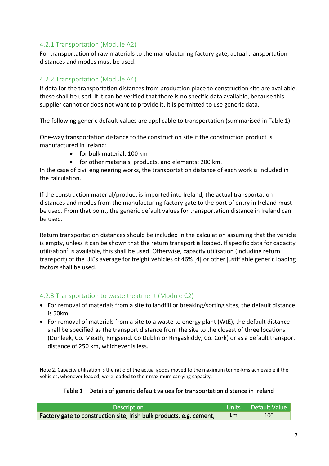### <span id="page-10-0"></span>4.2.1 Transportation (Module A2)

For transportation of raw materials to the manufacturing factory gate, actual transportation distances and modes must be used.

## <span id="page-10-1"></span>4.2.2 Transportation (Module A4)

If data for the transportation distances from production place to construction site are available, these shall be used. If it can be verified that there is no specific data available, because this supplier cannot or does not want to provide it, it is permitted to use generic data.

The following generic default values are applicable to transportation (summarised in Table 1).

One-way transportation distance to the construction site if the construction product is manufactured in Ireland:

- for bulk material: 100 km
- for other materials, products, and elements: 200 km.

In the case of civil engineering works, the transportation distance of each work is included in the calculation.

If the construction material/product is imported into Ireland, the actual transportation distances and modes from the manufacturing factory gate to the port of entry in Ireland must be used. From that point, the generic default values for transportation distance in Ireland can be used.

Return transportation distances should be included in the calculation assuming that the vehicle is empty, unless it can be shown that the return transport is loaded. If specific data for capacity utilisation<sup>2</sup> is available, this shall be used. Otherwise, capacity utilisation (including return transport) of the UK's average for freight vehicles of 46% [4] or other justifiable generic loading factors shall be used.

## <span id="page-10-2"></span>4.2.3 Transportation to waste treatment (Module C2)

- For removal of materials from a site to landfill or breaking/sorting sites, the default distance is 50km.
- For removal of materials from a site to a waste to energy plant (WtE), the default distance shall be specified as the transport distance from the site to the closest of three locations (Dunleek, Co. Meath; Ringsend, Co Dublin or Ringaskiddy, Co. Cork) or as a default transport distance of 250 km, whichever is less.

Note 2. Capacity utilisation is the ratio of the actual goods moved to the maximum tonne-kms achievable if the vehicles, whenever loaded, were loaded to their maximum carrying capacity.

#### Table 1 – Details of generic default values for transportation distance in Ireland

| <b>Description</b>                                                   |    | Units Default Value |
|----------------------------------------------------------------------|----|---------------------|
| Factory gate to construction site, Irish bulk products, e.g. cement, | km | 100                 |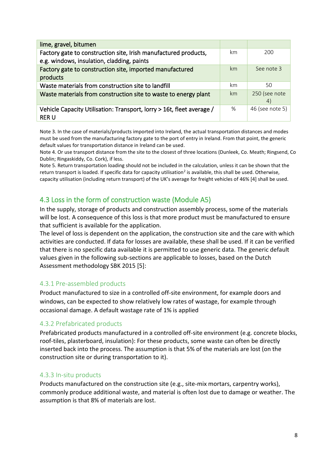| lime, gravel, bitumen                                                                                         |      |                      |
|---------------------------------------------------------------------------------------------------------------|------|----------------------|
| Factory gate to construction site, Irish manufactured products,<br>e.g. windows, insulation, cladding, paints | km   | 200                  |
| Factory gate to construction site, imported manufactured<br>products                                          | km   | See note 3           |
| Waste materials from construction site to landfill                                                            | km   | 50                   |
| Waste materials from construction site to waste to energy plant                                               | km   | 250 (see note<br>(4) |
| Vehicle Capacity Utilisation: Transport, lorry > 16t, fleet average /<br><b>RER U</b>                         | $\%$ | 46 (see note 5)      |

Note 3. In the case of materials/products imported into Ireland, the actual transportation distances and modes must be used from the manufacturing factory gate to the port of entry in Ireland. From that point, the generic default values for transportation distance in Ireland can be used.

Note 4. Or use transport distance from the site to the closest of three locations (Dunleek, Co. Meath; Ringsend, Co Dublin; Ringaskiddy, Co. Cork), if less.

Note 5. Return transportation loading should not be included in the calculation, unless it can be shown that the return transport is loaded. If specific data for capacity utilisation<sup>2</sup> is available, this shall be used. Otherwise, capacity utilisation (including return transport) of the UK's average for freight vehicles of 46% [4] shall be used.

## <span id="page-11-0"></span>4.3 Loss in the form of construction waste (Module A5)

In the supply, storage of products and construction assembly process, some of the materials will be lost. A consequence of this loss is that more product must be manufactured to ensure that sufficient is available for the application.

The level of loss is dependent on the application, the construction site and the care with which activities are conducted. If data for losses are available, these shall be used. If it can be verified that there is no specific data available it is permitted to use generic data. The generic default values given in the following sub-sections are applicable to losses, based on the Dutch Assessment methodology SBK 2015 [5]:

## <span id="page-11-1"></span>4.3.1 Pre-assembled products

Product manufactured to size in a controlled off-site environment, for example doors and windows, can be expected to show relatively low rates of wastage, for example through occasional damage. A default wastage rate of 1% is applied

## <span id="page-11-2"></span>4.3.2 Prefabricated products

Prefabricated products manufactured in a controlled off-site environment (e.g. concrete blocks, roof-tiles, plasterboard, insulation): For these products, some waste can often be directly inserted back into the process. The assumption is that 5% of the materials are lost (on the construction site or during transportation to it).

#### <span id="page-11-3"></span>4.3.3 In-situ products

Products manufactured on the construction site (e.g., site-mix mortars, carpentry works), commonly produce additional waste, and material is often lost due to damage or weather. The assumption is that 8% of materials are lost.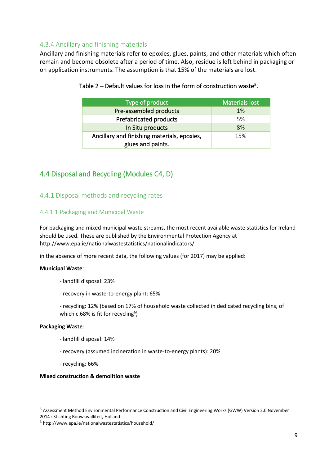### <span id="page-12-0"></span>4.3.4 Ancillary and finishing materials

Ancillary and finishing materials refer to epoxies, glues, paints, and other materials which often remain and become obsolete after a period of time. Also, residue is left behind in packaging or on application instruments. The assumption is that 15% of the materials are lost.

| Type of product                             | <b>Materials lost</b> |
|---------------------------------------------|-----------------------|
| Pre-assembled products                      | 1%                    |
| <b>Prefabricated products</b>               | 5%                    |
| In Situ products                            | 8%                    |
| Ancillary and finishing materials, epoxies, | 15%                   |
| glues and paints.                           |                       |

#### Table 2 – Default values for loss in the form of construction waste<sup>5</sup>.

## <span id="page-12-1"></span>4.4 Disposal and Recycling (Modules C4, D)

#### <span id="page-12-2"></span>4.4.1 Disposal methods and recycling rates

#### 4.4.1.1 Packaging and Municipal Waste

For packaging and mixed municipal waste streams, the most recent available waste statistics for Ireland should be used. These are published by the Environmental Protection Agency at http://www.epa.ie/nationalwastestatistics/nationalindicators/

in the absence of more recent data, the following values (for 2017) may be applied:

#### **Municipal Waste**:

- landfill disposal: 23%
- recovery in waste-to-energy plant: 65%

- recycling: 12% (based on 17% of household waste collected in dedicated recycling bins, of which c.68% is fit for recycling<sup>6</sup>)

#### **Packaging Waste**:

- landfill disposal: 14%
- recovery (assumed incineration in waste-to-energy plants): 20%
- recycling: 66%

#### **Mixed construction & demolition waste**

<sup>5</sup> Assessment Method Environmental Performance Construction and Civil Engineering Works (GWW) Version 2.0 November 2014 : Stichting Bouwkwalliteit, Holland

 $6$  http://www.epa.ie/nationalwastestatistics/household/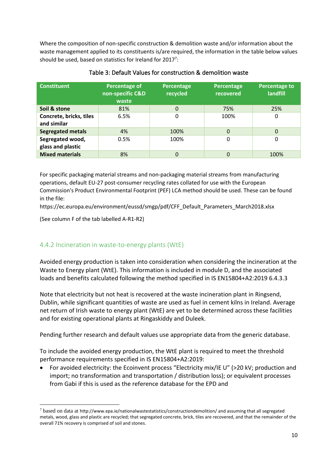Where the composition of non-specific construction & demolition waste and/or information about the waste management applied to its constituents is/are required, the information in the table below values should be used, based on statistics for Ireland for 2017<sup>7</sup>:

| <b>Constituent</b>                     | Percentage of<br>non-specific C&D<br>waste | Percentage<br>recycled | Percentage<br>recovered | <b>Percentage to</b><br><b>landfill</b> |
|----------------------------------------|--------------------------------------------|------------------------|-------------------------|-----------------------------------------|
| Soil & stone                           | 81%                                        | $\Omega$               | 75%                     | 25%                                     |
| Concrete, bricks, tiles<br>and similar | 6.5%                                       | 0                      | 100%                    | 0                                       |
| <b>Segregated metals</b>               | 4%                                         | 100%                   | 0                       | $\Omega$                                |
| Segregated wood,<br>glass and plastic  | 0.5%                                       | 100%                   | 0                       | 0                                       |
| <b>Mixed materials</b>                 | 8%                                         | 0                      | 0                       | 100%                                    |

#### Table 3: Default Values for construction & demolition waste

For specific packaging material streams and non-packaging material streams from manufacturing operations, default EU-27 post-consumer recycling rates collated for use with the European Commission's Product Environmental Footprint (PEF) LCA method should be used. These can be found in the file:

https://ec.europa.eu/environment/eussd/smgp/pdf/CFF\_Default\_Parameters\_March2018.xlsx

(See column F of the tab labelled A-R1-R2)

## <span id="page-13-0"></span>4.4.2 Incineration in waste-to-energy plants (WtE)

Avoided energy production is taken into consideration when considering the incineration at the Waste to Energy plant (WtE). This information is included in module D, and the associated loads and benefits calculated following the method specified in IS EN15804+A2:2019 6.4.3.3

Note that electricity but not heat is recovered at the waste incineration plant in Ringsend, Dublin, while significant quantities of waste are used as fuel in cement kilns in Ireland. Average net return of Irish waste to energy plant (WtE) are yet to be determined across these facilities and for existing operational plants at Ringaskiddy and Duleek.

Pending further research and default values use appropriate data from the generic database.

To include the avoided energy production, the WtE plant is required to meet the threshold performance requirements specified in IS EN15804+A2:2019:

• For avoided electricity: the Ecoinvent process "Electricity mix/IE U" (>20 kV; production and import; no transformation and transportation / distribution loss); or equivalent processes from Gabi if this is used as the reference database for the EPD and

 $7$  based on data at http://www.epa.ie/nationalwastestatistics/constructiondemolition/ and assuming that all segregated metals, wood, glass and plastic are recycled; that segregated concrete, brick, tiles are recovered, and that the remainder of the overall 71% recovery is comprised of soil and stones.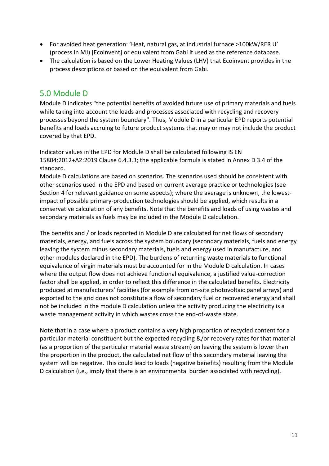- For avoided heat generation: 'Heat, natural gas, at industrial furnace >100kW/RER U' (process in MJ) [Ecoinvent] or equivalent from Gabi if used as the reference database.
- The calculation is based on the Lower Heating Values (LHV) that Ecoinvent provides in the process descriptions or based on the equivalent from Gabi.

## <span id="page-14-0"></span>5.0 Module D

Module D indicates "the potential benefits of avoided future use of primary materials and fuels while taking into account the loads and processes associated with recycling and recovery processes beyond the system boundary". Thus, Module D in a particular EPD reports potential benefits and loads accruing to future product systems that may or may not include the product covered by that EPD.

Indicator values in the EPD for Module D shall be calculated following IS EN 15804:2012+A2:2019 Clause 6.4.3.3; the applicable formula is stated in Annex D 3.4 of the standard.

Module D calculations are based on scenarios. The scenarios used should be consistent with other scenarios used in the EPD and based on current average practice or technologies (see Section 4 for relevant guidance on some aspects); where the average is unknown, the lowestimpact of possible primary-production technologies should be applied, which results in a conservative calculation of any benefits. Note that the benefits and loads of using wastes and secondary materials as fuels may be included in the Module D calculation.

The benefits and / or loads reported in Module D are calculated for net flows of secondary materials, energy, and fuels across the system boundary (secondary materials, fuels and energy leaving the system minus secondary materials, fuels and energy used in manufacture, and other modules declared in the EPD). The burdens of returning waste materials to functional equivalence of virgin materials must be accounted for in the Module D calculation. In cases where the output flow does not achieve functional equivalence, a justified value-correction factor shall be applied, in order to reflect this difference in the calculated benefits. Electricity produced at manufacturers' facilities (for example from on-site photovoltaic panel arrays) and exported to the grid does not constitute a flow of secondary fuel or recovered energy and shall not be included in the module D calculation unless the activity producing the electricity is a waste management activity in which wastes cross the end-of-waste state.

Note that in a case where a product contains a very high proportion of recycled content for a particular material constituent but the expected recycling &/or recovery rates for that material (as a proportion of the particular material waste stream) on leaving the system is lower than the proportion in the product, the calculated net flow of this secondary material leaving the system will be negative. This could lead to loads (negative benefits) resulting from the Module D calculation (i.e., imply that there is an environmental burden associated with recycling).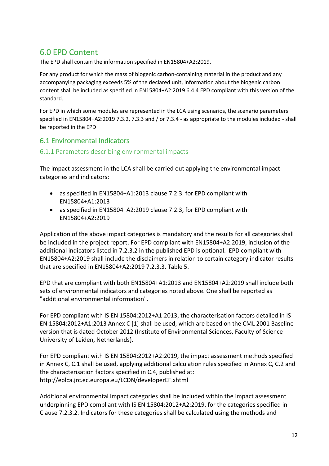## <span id="page-15-0"></span>6.0 EPD Content

The EPD shall contain the information specified in EN15804+A2:2019.

For any product for which the mass of biogenic carbon-containing material in the product and any accompanying packaging exceeds 5% of the declared unit, information about the biogenic carbon content shall be included as specified in EN15804+A2:2019 6.4.4 EPD compliant with this version of the standard.

For EPD in which some modules are represented in the LCA using scenarios, the scenario parameters specified in EN15804+A2:2019 7.3.2, 7.3.3 and / or 7.3.4 - as appropriate to the modules included - shall be reported in the EPD

## <span id="page-15-1"></span>6.1 Environmental Indicators

### <span id="page-15-2"></span>6.1.1 Parameters describing environmental impacts

The impact assessment in the LCA shall be carried out applying the environmental impact categories and indicators:

- as specified in EN15804+A1:2013 clause 7.2.3, for EPD compliant with EN15804+A1:2013
- as specified in EN15804+A2:2019 clause 7.2.3, for EPD compliant with EN15804+A2:2019

Application of the above impact categories is mandatory and the results for all categories shall be included in the project report. For EPD compliant with EN15804+A2:2019, inclusion of the additional indicators listed in 7.2.3.2 in the published EPD is optional. EPD compliant with EN15804+A2:2019 shall include the disclaimers in relation to certain category indicator results that are specified in EN15804+A2:2019 7.2.3.3, Table 5.

EPD that are compliant with both EN15804+A1:2013 and EN15804+A2:2019 shall include both sets of environmental indicators and categories noted above. One shall be reported as "additional environmental information".

For EPD compliant with IS EN 15804:2012+A1:2013, the characterisation factors detailed in IS EN 15804:2012+A1:2013 Annex C [1] shall be used, which are based on the CML 2001 Baseline version that is dated October 2012 (Institute of Environmental Sciences, Faculty of Science University of Leiden, Netherlands).

For EPD compliant with IS EN 15804:2012+A2:2019, the impact assessment methods specified in Annex C, C.1 shall be used, applying additional calculation rules specified in Annex C, C.2 and the characterisation factors specified in C.4, published at: http://eplca.jrc.ec.europa.eu/LCDN/developerEF.xhtml

Additional environmental impact categories shall be included within the impact assessment underpinning EPD compliant with IS EN 15804:2012+A2:2019, for the categories specified in Clause 7.2.3.2. Indicators for these categories shall be calculated using the methods and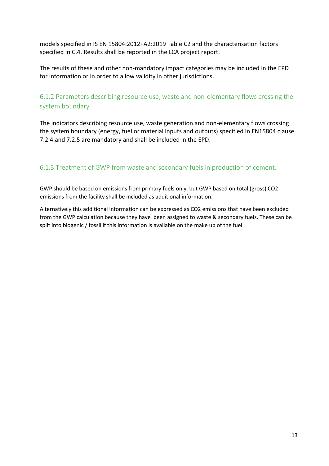models specified in IS EN 15804:2012+A2:2019 Table C2 and the characterisation factors specified in C.4. Results shall be reported in the LCA project report.

The results of these and other non-mandatory impact categories may be included in the EPD for information or in order to allow validity in other jurisdictions.

<span id="page-16-0"></span>6.1.2 Parameters describing resource use, waste and non-elementary flows crossing the system boundary

The indicators describing resource use, waste generation and non-elementary flows crossing the system boundary (energy, fuel or material inputs and outputs) specified in EN15804 clause 7.2.4.and 7.2.5 are mandatory and shall be included in the EPD.

## <span id="page-16-1"></span>6.1.3 Treatment of GWP from waste and secondary fuels in production of cement.

GWP should be based on emissions from primary fuels only, but GWP based on total (gross) CO2 emissions from the facility shall be included as additional information.

Alternatively this additional information can be expressed as CO2 emissions that have been excluded from the GWP calculation because they have been assigned to waste & secondary fuels. These can be split into biogenic / fossil if this information is available on the make up of the fuel.